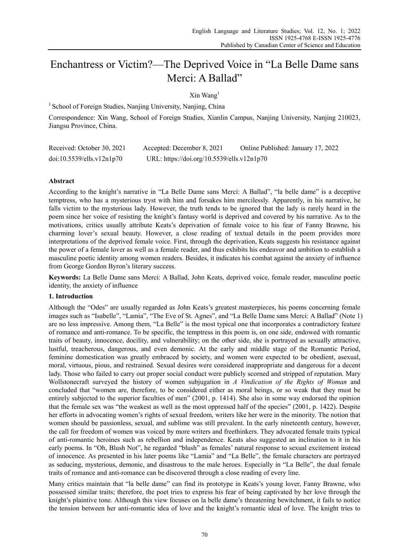# Enchantress or Victim?—The Deprived Voice in "La Belle Dame sans Merci: A Ballad"

## $X$ in Wang<sup>1</sup>

<sup>1</sup> School of Foreign Studies, Nanjing University, Nanjing, China

Correspondence: Xin Wang, School of Foreign Studies, Xianlin Campus, Nanjing University, Nanjing 210023, Jiangsu Province, China.

| Received: October 30, 2021 | Accepted: December 8, 2021                 | Online Published: January 17, 2022 |
|----------------------------|--------------------------------------------|------------------------------------|
| doi:10.5539/ells.v12n1p70  | URL: https://doi.org/10.5539/ells.v12n1p70 |                                    |

## **Abstract**

According to the knight's narrative in "La Belle Dame sans Merci: A Ballad", "la belle dame" is a deceptive temptress, who has a mysterious tryst with him and forsakes him mercilessly. Apparently, in his narrative, he falls victim to the mysterious lady. However, the truth tends to be ignored that the lady is rarely heard in the poem since her voice of resisting the knight's fantasy world is deprived and covered by his narrative. As to the motivations, critics usually attribute Keats's deprivation of female voice to his fear of Fanny Brawne, his charming lover's sexual beauty. However, a close reading of textual details in the poem provides more interpretations of the deprived female voice. First, through the deprivation, Keats suggests his resistance against the power of a female lover as well as a female reader, and thus exhibits his endeavor and ambition to establish a masculine poetic identity among women readers. Besides, it indicates his combat against the anxiety of influence from George Gordon Byron's literary success.

**Keywords:** La Belle Dame sans Merci: A Ballad, John Keats, deprived voice, female reader, masculine poetic identity, the anxiety of influence

## **1. Introduction**

Although the "Odes" are usually regarded as John Keats's greatest masterpieces, his poems concerning female images such as "Isabelle", "Lamia", "The Eve of St. Agnes", and "La Belle Dame sans Merci: A Ballad" (Note 1) are no less impressive. Among them, "La Belle" is the most typical one that incorporates a contradictory feature of romance and anti-romance. To be specific, the temptress in this poem is, on one side, endowed with romantic traits of beauty, innocence, docility, and vulnerability; on the other side, she is portrayed as sexually attractive, lustful, treacherous, dangerous, and even demonic. At the early and middle stage of the Romantic Period, feminine domestication was greatly embraced by society, and women were expected to be obedient, asexual, moral, virtuous, pious, and restrained. Sexual desires were considered inappropriate and dangerous for a decent lady. Those who failed to carry out proper social conduct were publicly scorned and stripped of reputation. Mary Wollstonecraft surveyed the history of women subjugation in *A Vindication of the Rights of Woman* and concluded that "women are, therefore, to be considered either as moral beings, or so weak that they must be entirely subjected to the superior faculties of men" (2001, p. 1414). She also in some way endorsed the opinion that the female sex was "the weakest as well as the most oppressed half of the species" (2001, p. 1422). Despite her efforts in advocating women's rights of sexual freedom, writers like her were in the minority. The notion that women should be passionless, sexual, and sublime was still prevalent. In the early nineteenth century, however, the call for freedom of women was voiced by more writers and freethinkers. They advocated female traits typical of anti-romantic heroines such as rebellion and independence. Keats also suggested an inclination to it in his early poems. In "Oh, Blush Not", he regarded "blush" as females' natural response to sexual excitement instead of innocence. As presented in his later poems like "Lamia" and "La Belle", the female characters are portrayed as seducing, mysterious, demonic, and disastrous to the male heroes. Especially in "La Belle", the dual female traits of romance and anti-romance can be discovered through a close reading of every line.

Many critics maintain that "la belle dame" can find its prototype in Keats's young lover, Fanny Brawne, who possessed similar traits; therefore, the poet tries to express his fear of being captivated by her love through the knight's plaintive tone. Although this view focuses on la belle dame's threatening bewitchment, it fails to notice the tension between her anti-romantic idea of love and the knight's romantic ideal of love. The knight tries to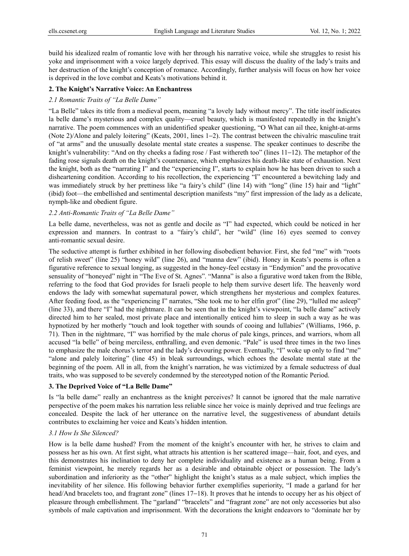build his idealized realm of romantic love with her through his narrative voice, while she struggles to resist his yoke and imprisonment with a voice largely deprived. This essay will discuss the duality of the lady's traits and her destruction of the knight's conception of romance. Accordingly, further analysis will focus on how her voice is deprived in the love combat and Keats's motivations behind it.

### **2. The Knight's Narrative Voice: An Enchantress**

## *2.1 Romantic Traits of "La Belle Dame"*

"La Belle" takes its title from a medieval poem, meaning "a lovely lady without mercy". The title itself indicates la belle dame's mysterious and complex quality—cruel beauty, which is manifested repeatedly in the knight's narrative. The poem commences with an unidentified speaker questioning, "O What can ail thee, knight-at-arms (Note 2)/Alone and palely loitering" (Keats, 2001, lines 1−2). The contrast between the chivalric masculine trait of "at arms" and the unusually desolate mental state creates a suspense. The speaker continues to describe the knight's vulnerability: "And on thy cheeks a fading rose / Fast withereth too" (lines 11−12). The metaphor of the fading rose signals death on the knight's countenance, which emphasizes his death-like state of exhaustion. Next the knight, both as the "narrating I" and the "experiencing I", starts to explain how he has been driven to such a disheartening condition. According to his recollection, the experiencing "I" encountered a bewitching lady and was immediately struck by her prettiness like "a fairy's child" (line 14) with "long" (line 15) hair and "light" (ibid) foot—the embellished and sentimental description manifests "my" first impression of the lady as a delicate, nymph-like and obedient figure.

### *2.2 Anti-Romantic Traits of "La Belle Dame"*

La belle dame, nevertheless, was not as gentle and docile as "I" had expected, which could be noticed in her expression and manners. In contrast to a "fairy's child", her "wild" (line 16) eyes seemed to convey anti-romantic sexual desire.

The seductive attempt is further exhibited in her following disobedient behavior. First, she fed "me" with "roots of relish sweet" (line 25) "honey wild" (line 26), and "manna dew" (ibid). Honey in Keats's poems is often a figurative reference to sexual longing, as suggested in the honey-feel ecstasy in "Endymion" and the provocative sensuality of "honeyed" night in "The Eve of St. Agnes". "Manna" is also a figurative word taken from the Bible, referring to the food that God provides for Israeli people to help them survive desert life. The heavenly word endows the lady with somewhat supernatural power, which strengthens her mysterious and complex features. After feeding food, as the "experiencing I" narrates, "She took me to her elfin grot" (line 29), "lulled me asleep" (line 33), and there "I" had the nightmare. It can be seen that in the knight's viewpoint, "la belle dame" actively directed him to her sealed, most private place and intentionally enticed him to sleep in such a way as he was hypnotized by her motherly "touch and look together with sounds of cooing and lullabies" (Williams, 1966, p. 71). Then in the nightmare, "I" was horrified by the male chorus of pale kings, princes, and warriors, whom all accused "la belle" of being merciless, enthralling, and even demonic. "Pale" is used three times in the two lines to emphasize the male chorus's terror and the lady's devouring power. Eventually, "I" woke up only to find "me" "alone and palely loitering" (line 45) in bleak surroundings, which echoes the desolate mental state at the beginning of the poem. All in all, from the knight's narration, he was victimized by a female seductress of dual traits, who was supposed to be severely condemned by the stereotyped notion of the Romantic Period.

## **3. The Deprived Voice of "La Belle Dame"**

Is "la belle dame" really an enchantress as the knight perceives? It cannot be ignored that the male narrative perspective of the poem makes his narration less reliable since her voice is mainly deprived and true feelings are concealed. Despite the lack of her utterance on the narrative level, the suggestiveness of abundant details contributes to exclaiming her voice and Keats's hidden intention.

## *3.1 How Is She Silenced?*

How is la belle dame hushed? From the moment of the knight's encounter with her, he strives to claim and possess her as his own. At first sight, what attracts his attention is her scattered image—hair, foot, and eyes, and this demonstrates his inclination to deny her complete individuality and existence as a human being. From a feminist viewpoint, he merely regards her as a desirable and obtainable object or possession. The lady's subordination and inferiority as the "other" highlight the knight's status as a male subject, which implies the inevitability of her silence. His following behavior further exemplifies superiority, "I made a garland for her head/And bracelets too, and fragrant zone" (lines 17−18). It proves that he intends to occupy her as his object of pleasure through embellishment. The "garland" "bracelets" and "fragrant zone" are not only accessories but also symbols of male captivation and imprisonment. With the decorations the knight endeavors to "dominate her by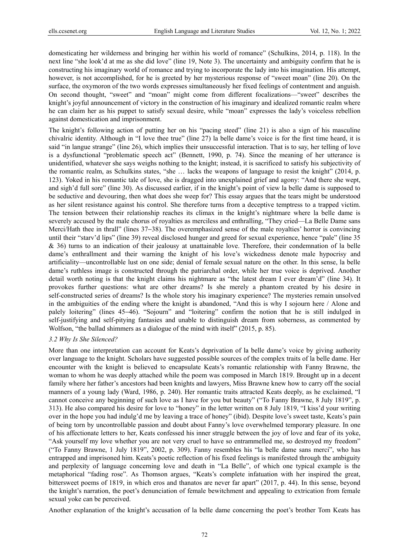domesticating her wilderness and bringing her within his world of romance" (Schulkins, 2014, p. 118). In the next line "she look'd at me as she did love" (line 19, Note 3). The uncertainty and ambiguity confirm that he is constructing his imaginary world of romance and trying to incorporate the lady into his imagination. His attempt, however, is not accomplished, for he is greeted by her mysterious response of "sweet moan" (line 20). On the surface, the oxymoron of the two words expresses simultaneously her fixed feelings of contentment and anguish. On second thought, "sweet" and "moan" might come from different focalizations—"sweet" describes the knight's joyful announcement of victory in the construction of his imaginary and idealized romantic realm where he can claim her as his puppet to satisfy sexual desire, while "moan" expresses the lady's voiceless rebellion against domestication and imprisonment.

The knight's following action of putting her on his "pacing steed" (line 21) is also a sign of his masculine chivalric identity. Although in "I love thee true" (line 27) la belle dame's voice is for the first time heard, it is said "in langue strange" (line 26), which implies their unsuccessful interaction. That is to say, her telling of love is a dysfunctional "problematic speech act" (Bennett, 1990, p. 74). Since the meaning of her utterance is unidentified, whatever she says weighs nothing to the knight; instead, it is sacrificed to satisfy his subjectivity of the romantic realm, as Schulkins states, "she … lacks the weapons of language to resist the knight" (2014, p. 123). Yoked in his romantic tale of love, she is dragged into unexplained grief and agony: "And there she wept, and sigh'd full sore" (line 30). As discussed earlier, if in the knight's point of view la belle dame is supposed to be seductive and devouring, then what does she weep for? This essay argues that the tears might be understood as her silent resistance against his control. She therefore turns from a deceptive temptress to a trapped victim. The tension between their relationship reaches its climax in the knight's nightmare where la belle dame is severely accused by the male chorus of royalties as merciless and enthralling, "They cried—La Belle Dame sans Merci/Hath thee in thrall" (lines 37−38). The overemphasized sense of the male royalties' horror is convincing until their "starv'd lips" (line 39) reveal disclosed hunger and greed for sexual experience, hence "pale" (line 35 & 36) turns to an indication of their jealousy at unattainable love. Therefore, their condemnation of la belle dame's enthrallment and their warning the knight of his love's wickedness denote male hypocrisy and artificiality—uncontrollable lust on one side; denial of female sexual nature on the other. In this sense, la belle dame's ruthless image is constructed through the patriarchal order, while her true voice is deprived. Another detail worth noting is that the knight claims his nightmare as "the latest dream I ever dream'd" (line 34). It provokes further questions: what are other dreams? Is she merely a phantom created by his desire in self-constructed series of dreams? Is the whole story his imaginary experience? The mysteries remain unsolved in the ambiguities of the ending where the knight is abandoned, "And this is why I sojourn here / Alone and palely loitering" (lines 45−46). "Sojourn" and "loitering" confirm the notion that he is still indulged in self-justifying and self-pitying fantasies and unable to distinguish dream from soberness, as commented by Wolfson, "the ballad shimmers as a dialogue of the mind with itself" (2015, p. 85).

#### *3.2 Why Is She Silenced?*

More than one interpretation can account for Keats's deprivation of la belle dame's voice by giving authority over language to the knight. Scholars have suggested possible sources of the complex traits of la belle dame. Her encounter with the knight is believed to encapsulate Keats's romantic relationship with Fanny Brawne, the woman to whom he was deeply attached while the poem was composed in March 1819. Brought up in a decent family where her father's ancestors had been knights and lawyers, Miss Brawne knew how to carry off the social manners of a young lady (Ward, 1986, p. 240). Her romantic traits attracted Keats deeply, as he exclaimed, "I cannot conceive any beginning of such love as I have for you but beauty" ("To Fanny Brawne, 8 July 1819", p. 313). He also compared his desire for love to "honey" in the letter written on 8 July 1819, "I kiss'd your writing over in the hope you had indulg'd me by leaving a trace of honey" (ibid). Despite love's sweet taste, Keats's pain of being torn by uncontrollable passion and doubt about Fanny's love overwhelmed temporary pleasure. In one of his affectionate letters to her, Keats confessed his inner struggle between the joy of love and fear of its yoke, "Ask yourself my love whether you are not very cruel to have so entrammelled me, so destroyed my freedom" ("To Fanny Brawne, 1 July 1819", 2002, p. 309). Fanny resembles his "la belle dame sans merci", who has entrapped and imprisoned him. Keats's poetic reflection of his fixed feelings is manifested through the ambiguity and perplexity of language concerning love and death in "La Belle", of which one typical example is the metaphorical "fading rose". As Thomson argues, "Keats's complete infatuation with her inspired the great, bittersweet poems of 1819, in which eros and thanatos are never far apart" (2017, p. 44). In this sense, beyond the knight's narration, the poet's denunciation of female bewitchment and appealing to extrication from female sexual yoke can be perceived.

Another explanation of the knight's accusation of la belle dame concerning the poet's brother Tom Keats has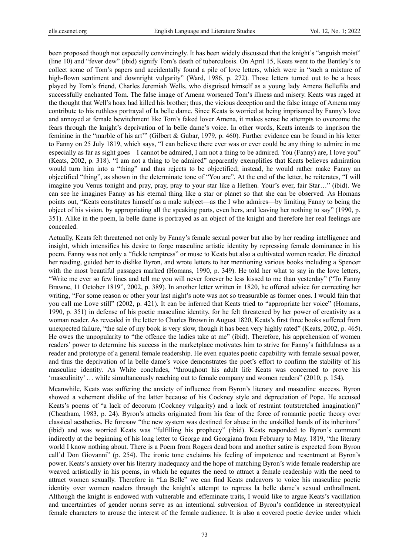been proposed though not especially convincingly. It has been widely discussed that the knight's "anguish moist" (line 10) and "fever dew" (ibid) signify Tom's death of tuberculosis. On April 15, Keats went to the Bentley's to collect some of Tom's papers and accidentally found a pile of love letters, which were in "such a mixture of high-flown sentiment and downright vulgarity" (Ward, 1986, p. 272). Those letters turned out to be a hoax played by Tom's friend, Charles Jeremiah Wells, who disguised himself as a young lady Amena Bellefila and successfully enchanted Tom. The false image of Amena worsened Tom's illness and misery. Keats was raged at the thought that Well's hoax had killed his brother; thus, the vicious deception and the false image of Amena may contribute to his ruthless portrayal of la belle dame. Since Keats is worried at being imprisoned by Fanny's love and annoyed at female bewitchment like Tom's faked lover Amena, it makes sense he attempts to overcome the fears through the knight's deprivation of la belle dame's voice. In other words, Keats intends to imprison the feminine in the "marble of his art'" (Gilbert & Gubar, 1979, p. 460). Further evidence can be found in his letter to Fanny on 25 July 1819, which says, "I can believe there ever was or ever could be any thing to admire in me especially as far as sight goes—I cannot be admired, I am not a thing to be admired. You (Fanny) are, I love you" (Keats, 2002, p. 318). "I am not a thing to be admired" apparently exemplifies that Keats believes admiration would turn him into a "thing" and thus rejects to be objectified; instead, he would rather make Fanny an objectified "thing", as shown in the determinate tone of "You are". At the end of the letter, he reiterates, "I will imagine you Venus tonight and pray, pray, pray to your star like a Hethen. Your's ever, fair Star…" (ibid). We can see he imagines Fanny as his eternal thing like a star or planet so that she can be observed. As Homans points out, "Keats constitutes himself as a male subject—as the I who admires—by limiting Fanny to being the object of his vision, by appropriating all the speaking parts, even hers, and leaving her nothing to say" (1990, p. 351). Alike in the poem, la belle dame is portrayed as an object of the knight and therefore her real feelings are concealed.

Actually, Keats felt threatened not only by Fanny's female sexual power but also by her reading intelligence and insight, which intensifies his desire to forge masculine artistic identity by repressing female dominance in his poem. Fanny was not only a "fickle temptress" or muse to Keats but also a cultivated women reader. He directed her reading, guided her to dislike Byron, and wrote letters to her mentioning various books including a Spencer with the most beautiful passages marked (Homans, 1990, p. 349). He told her what to say in the love letters, "Write me ever so few lines and tell me you will never forever be less kissed to me than yesterday" ("To Fanny Brawne, 11 October 1819", 2002, p. 389). In another letter written in 1820, he offered advice for correcting her writing, "For some reason or other your last night's note was not so treasurable as former ones. I would fain that you call me Love still" (2002, p. 421). It can be inferred that Keats tried to "appropriate her voice" (Homans, 1990, p. 351) in defense of his poetic masculine identity, for he felt threatened by her power of creativity as a woman reader. As revealed in the letter to Charles Brown in August 1820, Keats's first three books suffered from unexpected failure, "the sale of my book is very slow, though it has been very highly rated" (Keats, 2002, p. 465). He owes the unpopularity to "the offence the ladies take at me" (ibid). Therefore, his apprehension of women readers' power to determine his success in the marketplace motivates him to strive for Fanny's faithfulness as a reader and prototype of a general female readership. He even equates poetic capability with female sexual power, and thus the deprivation of la belle dame's voice demonstrates the poet's effort to confirm the stability of his masculine identity. As White concludes, "throughout his adult life Keats was concerned to prove his 'masculinity' … while simultaneously reaching out to female company and women readers" (2010, p. 154).

Meanwhile, Keats was suffering the anxiety of influence from Byron's literary and masculine success. Byron showed a vehement dislike of the latter because of his Cockney style and depreciation of Pope. He accused Keats's poems of "a lack of decorum (Cockney vulgarity) and a lack of restraint (outstretched imagination)" (Cheatham, 1983, p. 24). Byron's attacks originated from his fear of the force of romantic poetic theory over classical aesthetics. He foresaw "the new system was destined for abuse in the unskilled hands of its inheritors" (ibid) and was worried Keats was "fulfilling his prophecy" (ibid). Keats responded to Byron's comment indirectly at the beginning of his long letter to George and Georgiana from February to May. 1819, "the literary world I know nothing about. There is a Poem from Rogers dead born and another satire is expected from Byron call'd Don Giovanni" (p. 254). The ironic tone exclaims his feeling of impotence and resentment at Byron's power. Keats's anxiety over his literary inadequacy and the hope of matching Byron's wide female readership are weaved artistically in his poems, in which he equates the need to attract a female readership with the need to attract women sexually. Therefore in "La Belle" we can find Keats endeavors to voice his masculine poetic identity over women readers through the knight's attempt to repress la belle dame's sexual enthrallment. Although the knight is endowed with vulnerable and effeminate traits, I would like to argue Keats's vacillation and uncertainties of gender norms serve as an intentional subversion of Byron's confidence in stereotypical female characters to arouse the interest of the female audience. It is also a covered poetic device under which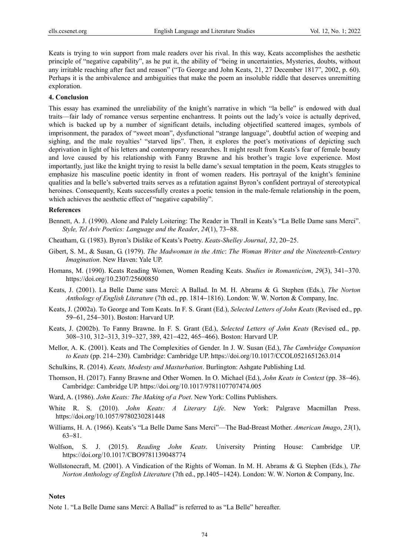Keats is trying to win support from male readers over his rival. In this way, Keats accomplishes the aesthetic principle of "negative capability", as he put it, the ability of "being in uncertainties, Mysteries, doubts, without any irritable reaching after fact and reason" ("To George and John Keats, 21, 27 December 1817", 2002, p. 60). Perhaps it is the ambivalence and ambiguities that make the poem an insoluble riddle that deserves unremitting exploration.

### **4. Conclusion**

This essay has examined the unreliability of the knight's narrative in which "la belle" is endowed with dual traits—fair lady of romance versus serpentine enchantress. It points out the lady's voice is actually deprived, which is backed up by a number of significant details, including objectified scattered images, symbols of imprisonment, the paradox of "sweet moan", dysfunctional "strange language", doubtful action of weeping and sighing, and the male royalties' "starved lips". Then, it explores the poet's motivations of depicting such deprivation in light of his letters and contemporary researches. It might result from Keats's fear of female beauty and love caused by his relationship with Fanny Brawne and his brother's tragic love experience. Most importantly, just like the knight trying to resist la belle dame's sexual temptation in the poem, Keats struggles to emphasize his masculine poetic identity in front of women readers. His portrayal of the knight's feminine qualities and la belle's subverted traits serves as a refutation against Byron's confident portrayal of stereotypical heroines. Consequently, Keats successfully creates a poetic tension in the male-female relationship in the poem, which achieves the aesthetic effect of "negative capability".

#### **References**

- Bennett, A. J. (1990). Alone and Palely Loitering: The Reader in Thrall in Keats's "La Belle Dame sans Merci". *Style, Tel Aviv Poetics: Language and the Reader*, *24*(1), 73−88.
- Cheatham, G. (1983). Byron's Dislike of Keats's Poetry. *Keats-Shelley Journal*, *32*, 20−25.
- Gibert, S. M., & Susan, G. (1979). *The Madwoman in the Attic*: *The Woman Writer and the Nineteenth-Century Imagination*. New Haven: Yale UP.
- Homans, M. (1990). Keats Reading Women, Women Reading Keats. *Studies in Romanticism*, *29*(3), 341−370. https://doi.org/10.2307/25600850
- Keats, J. (2001). La Belle Dame sans Merci: A Ballad. In M. H. Abrams & G. Stephen (Eds.), *The Norton Anthology of English Literature* (7th ed., pp. 1814−1816). London: W. W. Norton & Company, Inc.
- Keats, J. (2002a). To George and Tom Keats. In F. S. Grant (Ed.), *Selected Letters of John Keats* (Revised ed., pp. 59−61, 254−301). Boston: Harvard UP.
- Keats, J. (2002b). To Fanny Brawne. In F. S. Grant (Ed.), *Selected Letters of John Keats* (Revised ed., pp. 308−310, 312−313, 319−327, 389, 421−422, 465−466). Boston: Harvard UP.
- Mellor, A. K. (2001). Keats and The Complexities of Gender. In J. W. Susan (Ed.), *The Cambridge Companion to Keats* (pp. 214−230)*.* Cambridge: Cambridge UP. https://doi.org/10.1017/CCOL0521651263.014
- Schulkins, R. (2014). *Keats, Modesty and Masturbation*. Burlington: Ashgate Publishing Ltd.
- Thomson, H. (2017). Fanny Brawne and Other Women. In O. Michael (Ed.), *John Keats in Context* (pp. 38−46). Cambridge: Cambridge UP. https://doi.org/10.1017/9781107707474.005
- Ward, A. (1986). *John Keats: The Making of a Poet*. New York: Collins Publishers.
- White R. S. (2010). *John Keats: A Literary Life*. New York: Palgrave Macmillan Press. https://doi.org/10.1057/9780230281448
- Williams, H. A. (1966). Keats's "La Belle Dame Sans Merci"—The Bad-Breast Mother. *American Imago*, *23*(1), 63−81.
- Wolfson, S. J. (2015). *Reading John Keats*. University Printing House: Cambridge UP. https://doi.org/10.1017/CBO9781139048774
- Wollstonecraft, M. (2001). A Vindication of the Rights of Woman. In M. H. Abrams & G. Stephen (Eds.), *The Norton Anthology of English Literature* (7th ed., pp.1405−1424). London: W. W. Norton & Company, Inc.

### **Notes**

Note 1. "La Belle Dame sans Merci: A Ballad" is referred to as "La Belle" hereafter.